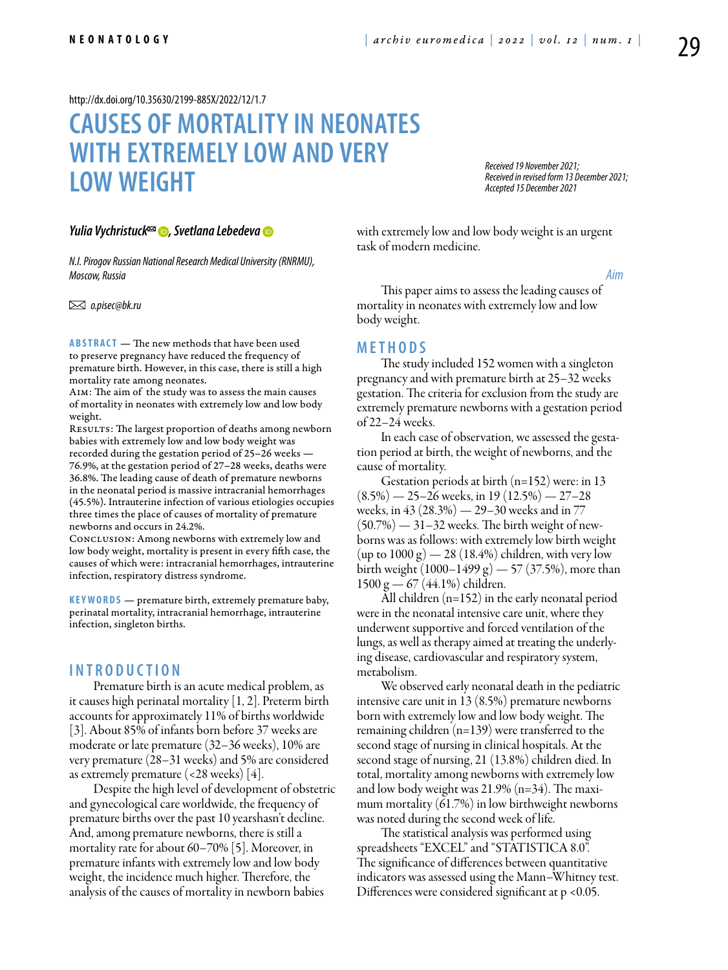<http://dx.doi.org/10.35630/2199-885X/2022/12/1.7>

# **Causes of mortality in neonates with extremely low and very low weight**

*Received 19 November 2021; Received in revised form 13 December 2021; Accepted 15 December 2021*

*[Yulia Vychristuck](https://orcid.org/0000-0002-1656-6565)*<sup>∞</sup> **D**, [Svetlana Lebedeva](https://orcid.org/0000-0002-2581-8533) **D** 

*N.I.Pirogov Russian National Research Medical University (RNRMU), Moscow, Russia*

 *o.pisec@bk.ru*

**ABSTRACT** — The new methods that have been used to preserve pregnancy have reduced the frequency of premature birth. However, in this case, there is still a high mortality rate among neonates.

Aim: The aim of the study was to assess the main causes of mortality in neonates with extremely low and low body weight.

RESULTS: The largest proportion of deaths among newborn babies with extremely low and low body weight was recorded during the gestation period of 25–26 weeks — 76.9%, at the gestation period of 27–28 weeks, deaths were 36.8%. The leading cause of death of premature newborns in the neonatal period is massive intracranial hemorrhages (45.5%). Intrauterine infection of various etiologies occupies three times the place of causes of mortality of premature newborns and occurs in 24.2%.

Conclusion: Among newborns with extremely low and low body weight, mortality is present in every fifth case, the causes of which were: intracranial hemorrhages, intrauterine infection, respiratory distress syndrome.

**KEYWORDS** — premature birth, extremely premature baby, perinatal mortality, intracranial hemorrhage, intrauterine infection, singleton births.

## **I n t r o d u ct i o n**

Premature birth is an acute medical problem, as it causes high perinatal mortality [1, 2]. Preterm birth accounts for approximately 11% of births worldwide [3]. About 85% of infants born before 37 weeks are moderate or late premature (32–36 weeks), 10% are very premature (28–31 weeks) and 5% are considered as extremely premature (<28 weeks) [4].

Despite the high level of development of obstetric and gynecological care worldwide, the frequency of premature births over the past 10 yearshasn't decline. And, among premature newborns, there is still a mortality rate for about 60–70% [5]. Moreover, in premature infants with extremely low and low body weight, the incidence much higher. Therefore, the analysis of the causes of mortality in newborn babies

with extremely low and low body weight is an urgent task of modern medicine.

*Aim*

This paper aims to assess the leading causes of mortality in neonates with extremely low and low body weight.

#### **Me t h o d s**

The study included 152 women with a singleton pregnancy and with premature birth at 25–32 weeks gestation. The criteria for exclusion from the study are extremely premature newborns with a gestation period of 22–24 weeks.

In each case of observation, we assessed the gestation period at birth, the weight of newborns, and the cause of mortality.

Gestation periods at birth (n=152) were: in 13  $(8.5\%)$  — 25–26 weeks, in 19 (12.5%) — 27–28 weeks, in 43 (28.3%) — 29–30 weeks and in 77  $(50.7\%)$  — 31–32 weeks. The birth weight of newborns was as follows: with extremely low birth weight  $(\text{up to } 1000 \text{ g}) - 28 (18.4\%)$  children, with very low birth weight  $(1000 - 1499 g) - 57 (37.5%)$ , more than  $1500 \text{ g} - 67 (44.1\%)$  children.

All children (n=152) in the early neonatal period were in the neonatal intensive care unit, where they underwent supportive and forced ventilation of the lungs, as well as therapy aimed at treating the underlying disease, cardiovascular and respiratory system, metabolism.

We observed early neonatal death in the pediatric intensive care unit in 13 (8.5%) premature newborns born with extremely low and low body weight. The remaining children (n=139) were transferred to the second stage of nursing in clinical hospitals. At the second stage of nursing, 21 (13.8%) children died. In total, mortality among newborns with extremely low and low body weight was 21.9% (n=34). The maximum mortality (61.7%) in low birthweight newborns was noted during the second week of life.

The statistical analysis was performed using spreadsheets "EXCEL" and "STATISTICA 8.0". The significance of differences between quantitative indicators was assessed using the Mann–Whitney test. Differences were considered significant at p <0.05.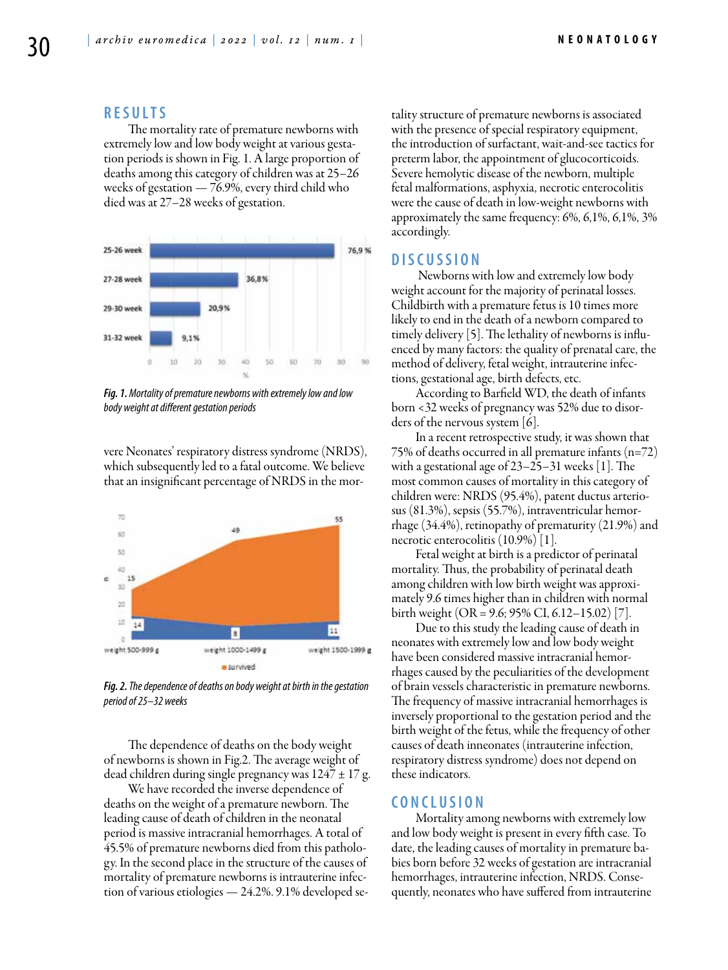# **R e s u l t s**

The mortality rate of premature newborns with extremely low and low body weight at various gestation periods is shown in Fig. 1. A large proportion of deaths among this category of children was at 25–26 weeks of gestation — 76.9%, every third child who died was at 27–28 weeks of gestation.



*Fig. 1. Mortality of premature newborns with extremely low and low body weight at different gestation periods*

vere Neonates' respiratory distress syndrome (NRDS), which subsequently led to a fatal outcome. We believe that an insignificant percentage of NRDS in the mor-



*Fig. 2. The dependence of deaths on body weight at birth in the gestation period of 25–32 weeks*

The dependence of deaths on the body weight of newborns is shown in Fig.2. The average weight of dead children during single pregnancy was  $1247 \pm 17$  g.

We have recorded the inverse dependence of deaths on the weight of a premature newborn. The leading cause of death of children in the neonatal period is massive intracranial hemorrhages. A total of 45.5% of premature newborns died from this pathology. In the second place in the structure of the causes of mortality of premature newborns is intrauterine infection of various etiologies — 24.2%. 9.1% developed setality structure of premature newborns is associated with the presence of special respiratory equipment, the introduction of surfactant, wait-and-see tactics for preterm labor, the appointment of glucocorticoids. Severe hemolytic disease of the newborn, multiple fetal malformations, asphyxia, necrotic enterocolitis were the cause of death in low-weight newborns with approximately the same frequency: 6%, 6,1%, 6,1%, 3% accordingly.

## **D i sc u s s i o n**

 Newborns with low and extremely low body weight account for the majority of perinatal losses. Childbirth with a premature fetus is 10 times more likely to end in the death of a newborn compared to timely delivery [5]. The lethality of newborns is influenced by many factors: the quality of prenatal care, the method of delivery, fetal weight, intrauterine infections, gestational age, birth defects, etc.

According to Barfield WD, the death of infants born <32 weeks of pregnancy was 52% due to disorders of the nervous system  $\vert 6 \vert$ .

In a recent retrospective study, it was shown that 75% of deaths occurred in all premature infants (n=72) with a gestational age of 23–25–31 weeks [1]. The most common causes of mortality in this category of children were: NRDS (95.4%), patent ductus arteriosus (81.3%), sepsis (55.7%), intraventricular hemorrhage (34.4%), retinopathy of prematurity (21.9%) and necrotic enterocolitis (10.9%) [1].

Fetal weight at birth is a predictor of perinatal mortality. Thus, the probability of perinatal death among children with low birth weight was approximately 9.6 times higher than in children with normal birth weight (OR = 9.6; 95% CI, 6.12–15.02) [7].

Due to this study the leading cause of death in neonates with extremely low and low body weight have been considered massive intracranial hemorrhages caused by the peculiarities of the development of brain vessels characteristic in premature newborns. The frequency of massive intracranial hemorrhages is inversely proportional to the gestation period and the birth weight of the fetus, while the frequency of other causes of death inneonates (intrauterine infection, respiratory distress syndrome) does not depend on these indicators.

### **C o n cl u s i o n**

Mortality among newborns with extremely low and low body weight is present in every fifth case. To date, the leading causes of mortality in premature babies born before 32 weeks of gestation are intracranial hemorrhages, intrauterine infection, NRDS. Consequently, neonates who have suffered from intrauterine